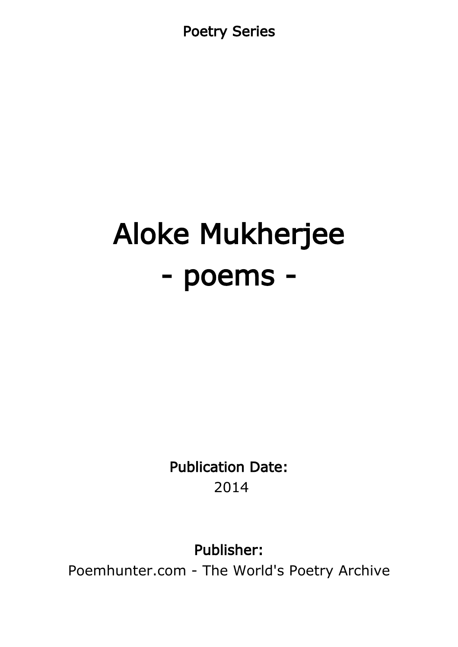Poetry Series

# Aloke Mukherjee - poems -

Publication Date: 2014

Publisher:

Poemhunter.com - The World's Poetry Archive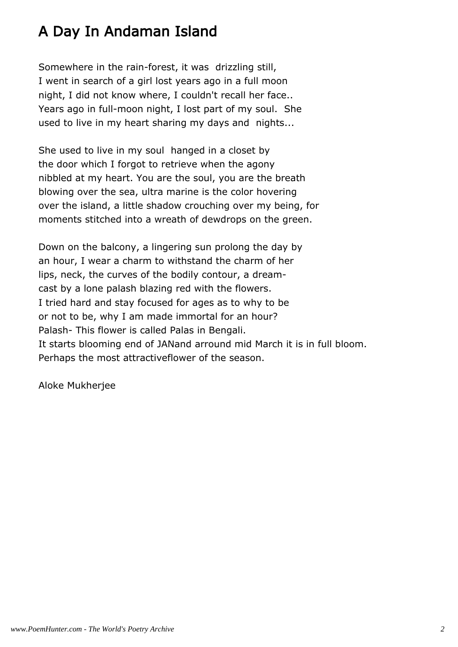## A Day In Andaman Island

Somewhere in the rain-forest, it was drizzling still, I went in search of a girl lost years ago in a full moon night, I did not know where, I couldn't recall her face.. Years ago in full-moon night, I lost part of my soul. She used to live in my heart sharing my days and nights...

She used to live in my soul hanged in a closet by the door which I forgot to retrieve when the agony nibbled at my heart. You are the soul, you are the breath blowing over the sea, ultra marine is the color hovering over the island, a little shadow crouching over my being, for moments stitched into a wreath of dewdrops on the green.

Down on the balcony, a lingering sun prolong the day by an hour, I wear a charm to withstand the charm of her lips, neck, the curves of the bodily contour, a dreamcast by a lone palash blazing red with the flowers. I tried hard and stay focused for ages as to why to be or not to be, why I am made immortal for an hour? Palash- This flower is called Palas in Bengali. It starts blooming end of JANand arround mid March it is in full bloom. Perhaps the most attractiveflower of the season.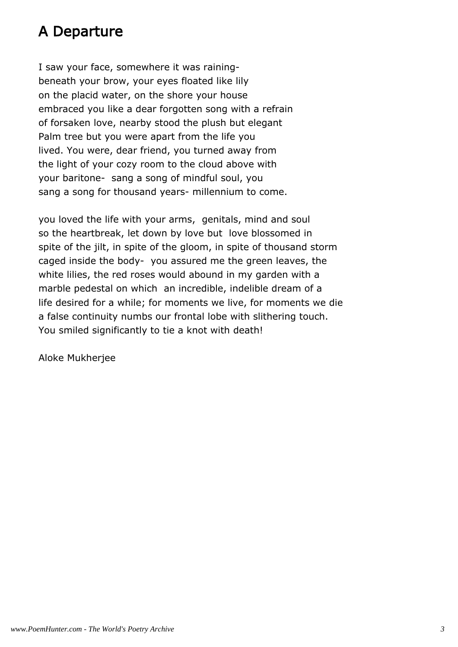## A Departure

I saw your face, somewhere it was rainingbeneath your brow, your eyes floated like lily on the placid water, on the shore your house embraced you like a dear forgotten song with a refrain of forsaken love, nearby stood the plush but elegant Palm tree but you were apart from the life you lived. You were, dear friend, you turned away from the light of your cozy room to the cloud above with your baritone- sang a song of mindful soul, you sang a song for thousand years- millennium to come.

you loved the life with your arms, genitals, mind and soul so the heartbreak, let down by love but love blossomed in spite of the jilt, in spite of the gloom, in spite of thousand storm caged inside the body- you assured me the green leaves, the white lilies, the red roses would abound in my garden with a marble pedestal on which an incredible, indelible dream of a life desired for a while; for moments we live, for moments we die a false continuity numbs our frontal lobe with slithering touch. You smiled significantly to tie a knot with death!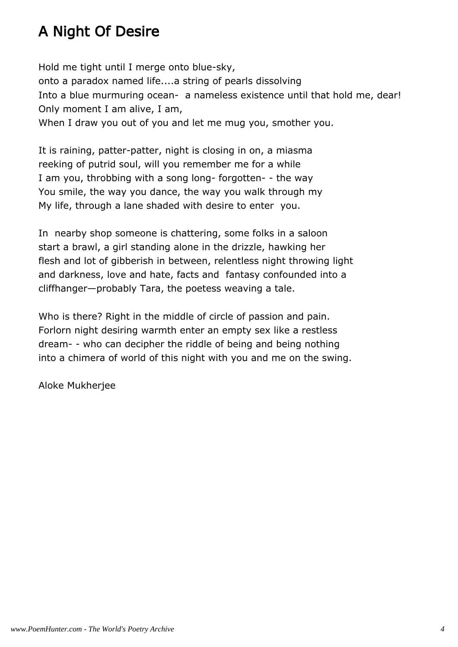## A Night Of Desire

Hold me tight until I merge onto blue-sky, onto a paradox named life....a string of pearls dissolving Into a blue murmuring ocean- a nameless existence until that hold me, dear! Only moment I am alive, I am, When I draw you out of you and let me mug you, smother you.

It is raining, patter-patter, night is closing in on, a miasma reeking of putrid soul, will you remember me for a while I am you, throbbing with a song long- forgotten- - the way You smile, the way you dance, the way you walk through my My life, through a lane shaded with desire to enter you.

In nearby shop someone is chattering, some folks in a saloon start a brawl, a girl standing alone in the drizzle, hawking her flesh and lot of gibberish in between, relentless night throwing light and darkness, love and hate, facts and fantasy confounded into a cliffhanger—probably Tara, the poetess weaving a tale.

Who is there? Right in the middle of circle of passion and pain. Forlorn night desiring warmth enter an empty sex like a restless dream- - who can decipher the riddle of being and being nothing into a chimera of world of this night with you and me on the swing.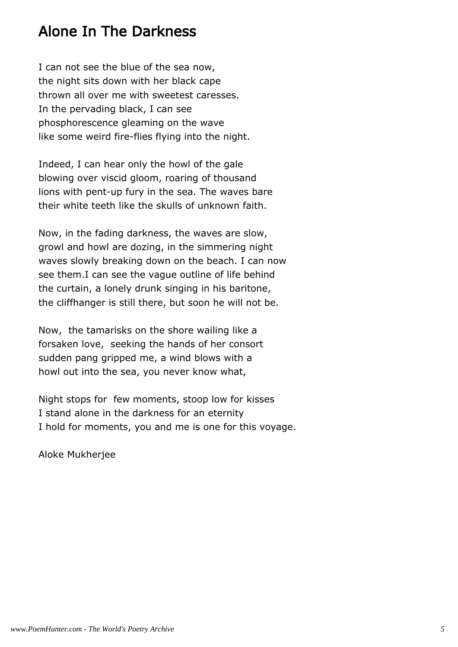## Alone In The Darkness

I can not see the blue of the sea now, the night sits down with her black cape thrown all over me with sweetest caresses. In the pervading black, I can see phosphorescence gleaming on the wave like some weird fire-flies flying into the night.

Indeed, I can hear only the howl of the gale blowing over viscid gloom, roaring of thousand lions with pent-up fury in the sea. The waves bare their white teeth like the skulls of unknown faith.

Now, in the fading darkness, the waves are slow, growl and howl are dozing, in the simmering night waves slowly breaking down on the beach. I can now see them.I can see the vague outline of life behind the curtain, a lonely drunk singing in his baritone, the cliffhanger is still there, but soon he will not be.

Now, the tamarisks on the shore wailing like a forsaken love, seeking the hands of her consort sudden pang gripped me, a wind blows with a howl out into the sea, you never know what,

Night stops for few moments, stoop low for kisses I stand alone in the darkness for an eternity I hold for moments, you and me is one for this voyage.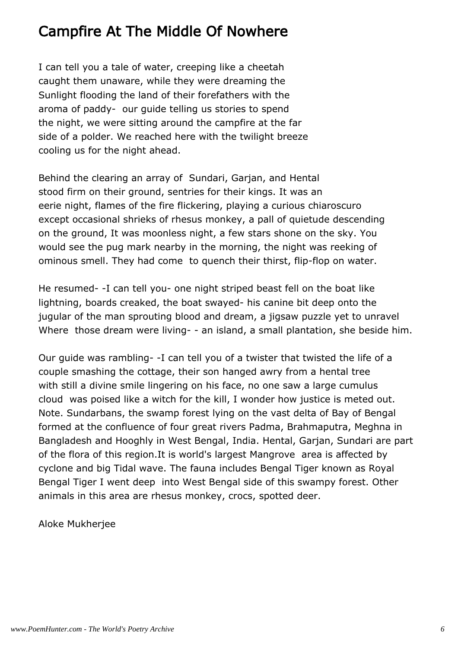## Campfire At The Middle Of Nowhere

I can tell you a tale of water, creeping like a cheetah caught them unaware, while they were dreaming the Sunlight flooding the land of their forefathers with the aroma of paddy- our guide telling us stories to spend the night, we were sitting around the campfire at the far side of a polder. We reached here with the twilight breeze cooling us for the night ahead.

Behind the clearing an array of Sundari, Garjan, and Hental stood firm on their ground, sentries for their kings. It was an eerie night, flames of the fire flickering, playing a curious chiaroscuro except occasional shrieks of rhesus monkey, a pall of quietude descending on the ground, It was moonless night, a few stars shone on the sky. You would see the pug mark nearby in the morning, the night was reeking of ominous smell. They had come to quench their thirst, flip-flop on water.

He resumed- -I can tell you- one night striped beast fell on the boat like lightning, boards creaked, the boat swayed- his canine bit deep onto the jugular of the man sprouting blood and dream, a jigsaw puzzle yet to unravel Where those dream were living- - an island, a small plantation, she beside him.

Our guide was rambling- -I can tell you of a twister that twisted the life of a couple smashing the cottage, their son hanged awry from a hental tree with still a divine smile lingering on his face, no one saw a large cumulus cloud was poised like a witch for the kill, I wonder how justice is meted out. Note. Sundarbans, the swamp forest lying on the vast delta of Bay of Bengal formed at the confluence of four great rivers Padma, Brahmaputra, Meghna in Bangladesh and Hooghly in West Bengal, India. Hental, Garjan, Sundari are part of the flora of this region.It is world's largest Mangrove area is affected by cyclone and big Tidal wave. The fauna includes Bengal Tiger known as Royal Bengal Tiger I went deep into West Bengal side of this swampy forest. Other animals in this area are rhesus monkey, crocs, spotted deer.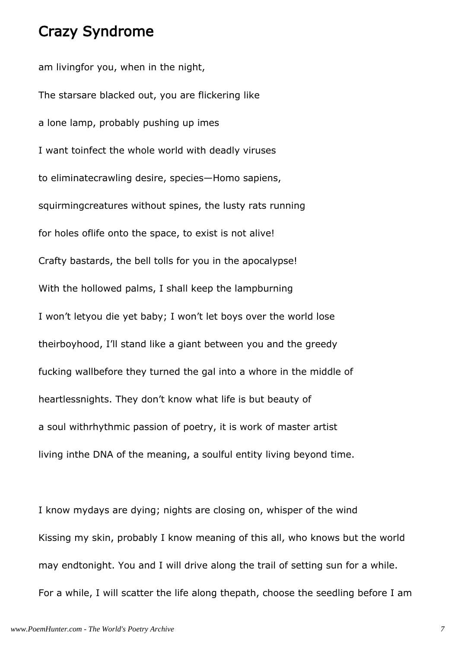#### Crazy Syndrome

am livingfor you, when in the night, The starsare blacked out, you are flickering like a lone lamp, probably pushing up imes I want toinfect the whole world with deadly viruses to eliminatecrawling desire, species—Homo sapiens, squirmingcreatures without spines, the lusty rats running for holes oflife onto the space, to exist is not alive! Crafty bastards, the bell tolls for you in the apocalypse! With the hollowed palms, I shall keep the lampburning I won't letyou die yet baby; I won't let boys over the world lose theirboyhood, I'll stand like a giant between you and the greedy fucking wallbefore they turned the gal into a whore in the middle of heartlessnights. They don't know what life is but beauty of a soul withrhythmic passion of poetry, it is work of master artist living inthe DNA of the meaning, a soulful entity living beyond time.

I know mydays are dying; nights are closing on, whisper of the wind Kissing my skin, probably I know meaning of this all, who knows but the world may endtonight. You and I will drive along the trail of setting sun for a while. For a while, I will scatter the life along thepath, choose the seedling before I am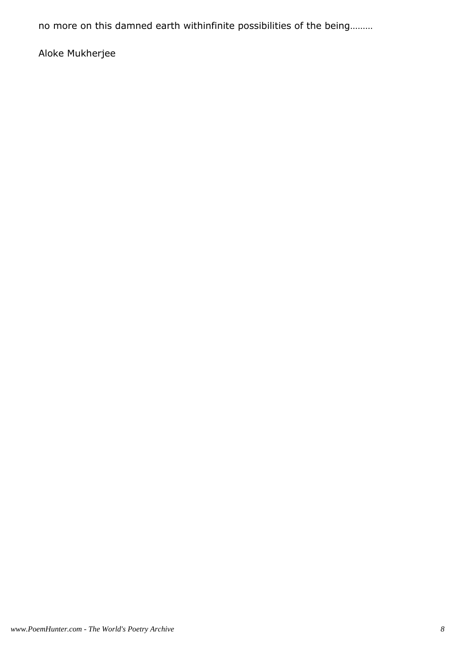no more on this damned earth withinfinite possibilities of the being………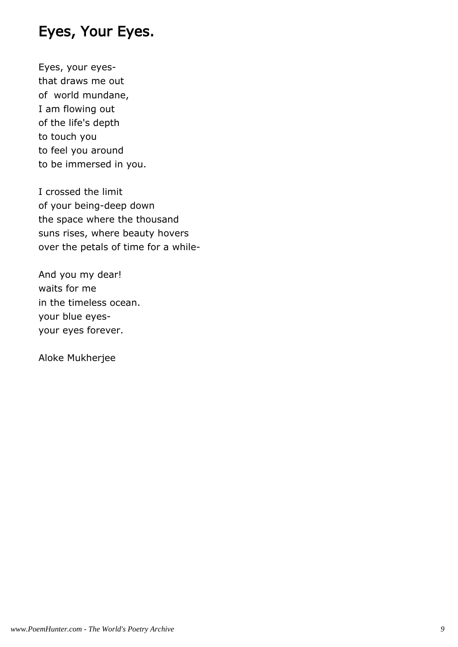## Eyes, Your Eyes.

Eyes, your eyesthat draws me out of world mundane, I am flowing out of the life's depth to touch you to feel you around to be immersed in you.

I crossed the limit of your being-deep down the space where the thousand suns rises, where beauty hovers over the petals of time for a while-

And you my dear! waits for me in the timeless ocean. your blue eyesyour eyes forever.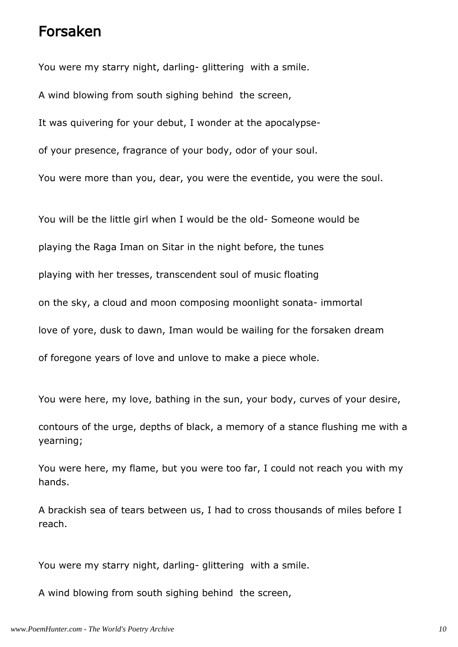#### Forsaken

You were my starry night, darling- glittering with a smile.

A wind blowing from south sighing behind the screen,

It was quivering for your debut, I wonder at the apocalypse-

of your presence, fragrance of your body, odor of your soul.

You were more than you, dear, you were the eventide, you were the soul.

You will be the little girl when I would be the old- Someone would be playing the Raga Iman on Sitar in the night before, the tunes playing with her tresses, transcendent soul of music floating on the sky, a cloud and moon composing moonlight sonata- immortal love of yore, dusk to dawn, Iman would be wailing for the forsaken dream of foregone years of love and unlove to make a piece whole.

You were here, my love, bathing in the sun, your body, curves of your desire,

contours of the urge, depths of black, a memory of a stance flushing me with a yearning;

You were here, my flame, but you were too far, I could not reach you with my hands.

A brackish sea of tears between us, I had to cross thousands of miles before I reach.

You were my starry night, darling- glittering with a smile.

A wind blowing from south sighing behind the screen,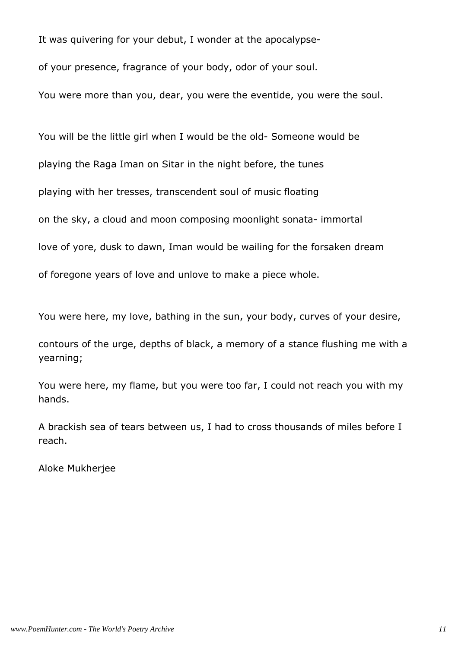It was quivering for your debut, I wonder at the apocalypseof your presence, fragrance of your body, odor of your soul.

You were more than you, dear, you were the eventide, you were the soul.

You will be the little girl when I would be the old- Someone would be playing the Raga Iman on Sitar in the night before, the tunes playing with her tresses, transcendent soul of music floating on the sky, a cloud and moon composing moonlight sonata- immortal love of yore, dusk to dawn, Iman would be wailing for the forsaken dream of foregone years of love and unlove to make a piece whole.

You were here, my love, bathing in the sun, your body, curves of your desire,

contours of the urge, depths of black, a memory of a stance flushing me with a yearning;

You were here, my flame, but you were too far, I could not reach you with my hands.

A brackish sea of tears between us, I had to cross thousands of miles before I reach.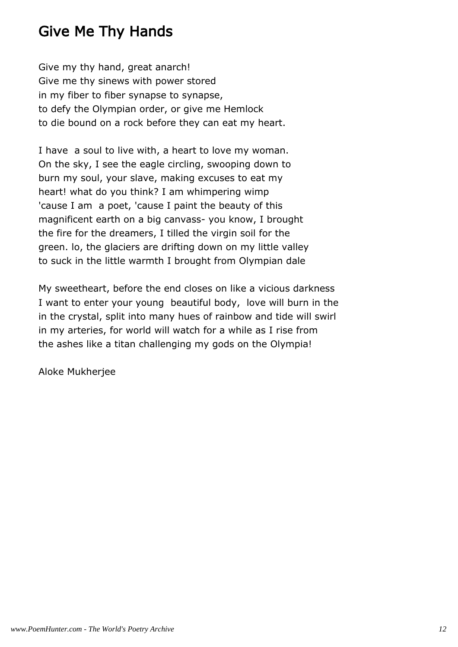## Give Me Thy Hands

Give my thy hand, great anarch! Give me thy sinews with power stored in my fiber to fiber synapse to synapse, to defy the Olympian order, or give me Hemlock to die bound on a rock before they can eat my heart.

I have a soul to live with, a heart to love my woman. On the sky, I see the eagle circling, swooping down to burn my soul, your slave, making excuses to eat my heart! what do you think? I am whimpering wimp 'cause I am a poet, 'cause I paint the beauty of this magnificent earth on a big canvass- you know, I brought the fire for the dreamers, I tilled the virgin soil for the green. lo, the glaciers are drifting down on my little valley to suck in the little warmth I brought from Olympian dale

My sweetheart, before the end closes on like a vicious darkness I want to enter your young beautiful body, love will burn in the in the crystal, split into many hues of rainbow and tide will swirl in my arteries, for world will watch for a while as I rise from the ashes like a titan challenging my gods on the Olympia!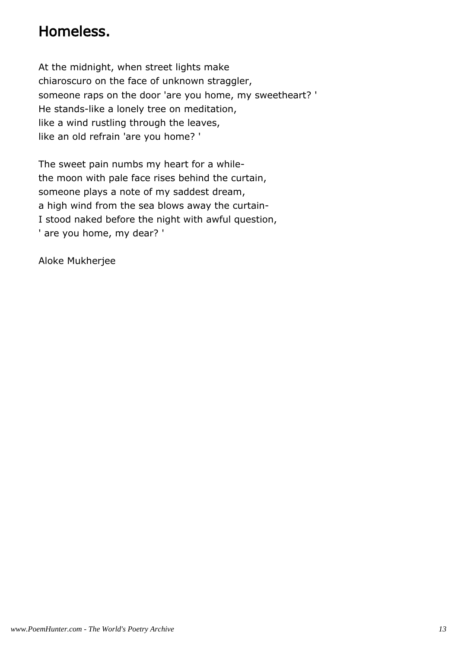## Homeless.

At the midnight, when street lights make chiaroscuro on the face of unknown straggler, someone raps on the door 'are you home, my sweetheart? ' He stands-like a lonely tree on meditation, like a wind rustling through the leaves, like an old refrain 'are you home? '

The sweet pain numbs my heart for a whilethe moon with pale face rises behind the curtain, someone plays a note of my saddest dream, a high wind from the sea blows away the curtain-I stood naked before the night with awful question, ' are you home, my dear? '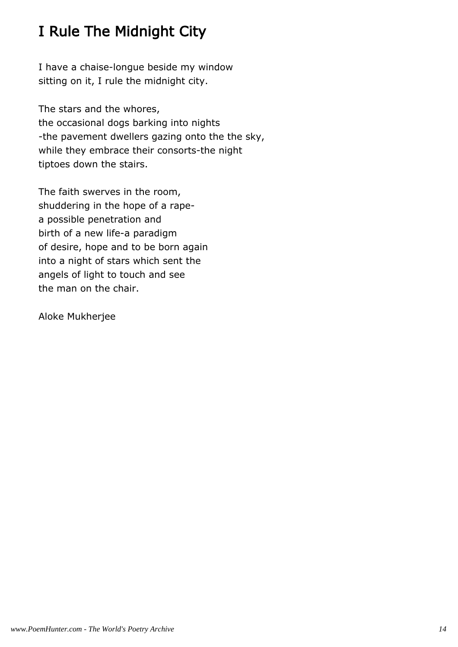## I Rule The Midnight City

I have a chaise-longue beside my window sitting on it, I rule the midnight city.

The stars and the whores, the occasional dogs barking into nights -the pavement dwellers gazing onto the the sky, while they embrace their consorts-the night tiptoes down the stairs.

The faith swerves in the room, shuddering in the hope of a rapea possible penetration and birth of a new life-a paradigm of desire, hope and to be born again into a night of stars which sent the angels of light to touch and see the man on the chair.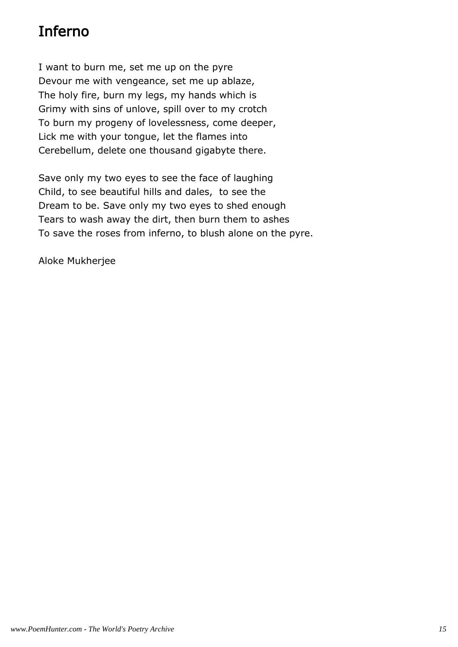## Inferno

I want to burn me, set me up on the pyre Devour me with vengeance, set me up ablaze, The holy fire, burn my legs, my hands which is Grimy with sins of unlove, spill over to my crotch To burn my progeny of lovelessness, come deeper, Lick me with your tongue, let the flames into Cerebellum, delete one thousand gigabyte there.

Save only my two eyes to see the face of laughing Child, to see beautiful hills and dales, to see the Dream to be. Save only my two eyes to shed enough Tears to wash away the dirt, then burn them to ashes To save the roses from inferno, to blush alone on the pyre.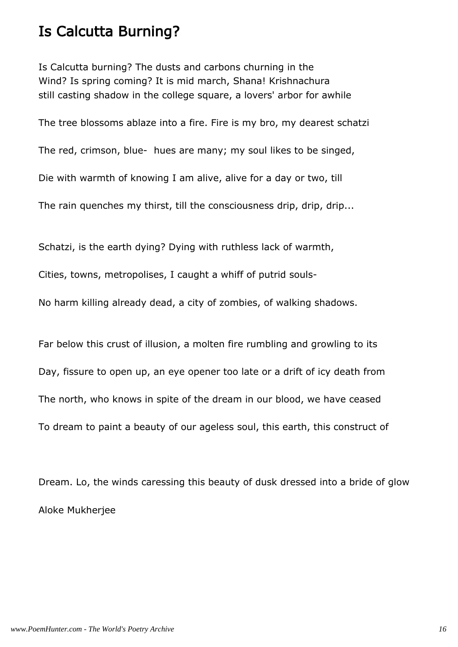#### Is Calcutta Burning?

Is Calcutta burning? The dusts and carbons churning in the Wind? Is spring coming? It is mid march, Shana! Krishnachura still casting shadow in the college square, a lovers' arbor for awhile

The tree blossoms ablaze into a fire. Fire is my bro, my dearest schatzi

The red, crimson, blue- hues are many; my soul likes to be singed,

Die with warmth of knowing I am alive, alive for a day or two, till

The rain quenches my thirst, till the consciousness drip, drip, drip...

Schatzi, is the earth dying? Dying with ruthless lack of warmth,

Cities, towns, metropolises, I caught a whiff of putrid souls-

No harm killing already dead, a city of zombies, of walking shadows.

Far below this crust of illusion, a molten fire rumbling and growling to its Day, fissure to open up, an eye opener too late or a drift of icy death from The north, who knows in spite of the dream in our blood, we have ceased To dream to paint a beauty of our ageless soul, this earth, this construct of

Dream. Lo, the winds caressing this beauty of dusk dressed into a bride of glow Aloke Mukherjee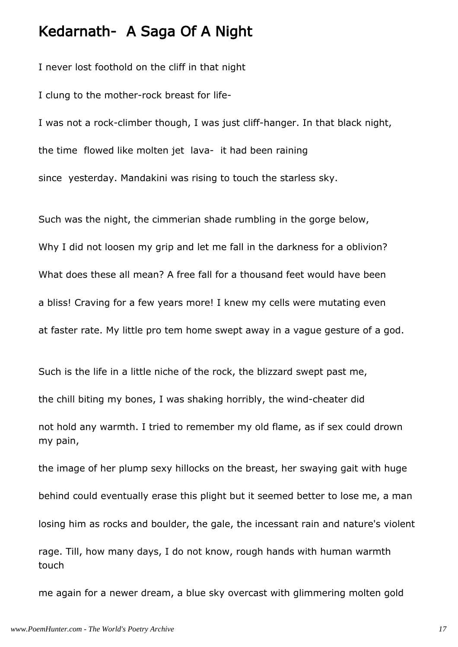#### Kedarnath- A Saga Of A Night

I never lost foothold on the cliff in that night

I clung to the mother-rock breast for life-

I was not a rock-climber though, I was just cliff-hanger. In that black night, the time flowed like molten jet lava- it had been raining since yesterday. Mandakini was rising to touch the starless sky.

Such was the night, the cimmerian shade rumbling in the gorge below, Why I did not loosen my grip and let me fall in the darkness for a oblivion? What does these all mean? A free fall for a thousand feet would have been a bliss! Craving for a few years more! I knew my cells were mutating even at faster rate. My little pro tem home swept away in a vague gesture of a god.

Such is the life in a little niche of the rock, the blizzard swept past me,

the chill biting my bones, I was shaking horribly, the wind-cheater did

not hold any warmth. I tried to remember my old flame, as if sex could drown my pain,

the image of her plump sexy hillocks on the breast, her swaying gait with huge behind could eventually erase this plight but it seemed better to lose me, a man losing him as rocks and boulder, the gale, the incessant rain and nature's violent rage. Till, how many days, I do not know, rough hands with human warmth touch

me again for a newer dream, a blue sky overcast with glimmering molten gold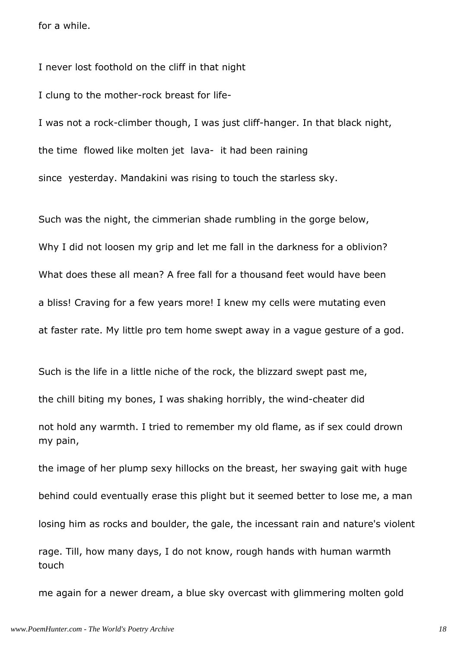for a while.

I never lost foothold on the cliff in that night

I clung to the mother-rock breast for life-

I was not a rock-climber though, I was just cliff-hanger. In that black night, the time flowed like molten jet lava- it had been raining since yesterday. Mandakini was rising to touch the starless sky.

Such was the night, the cimmerian shade rumbling in the gorge below, Why I did not loosen my grip and let me fall in the darkness for a oblivion? What does these all mean? A free fall for a thousand feet would have been a bliss! Craving for a few years more! I knew my cells were mutating even at faster rate. My little pro tem home swept away in a vague gesture of a god.

Such is the life in a little niche of the rock, the blizzard swept past me,

the chill biting my bones, I was shaking horribly, the wind-cheater did

not hold any warmth. I tried to remember my old flame, as if sex could drown my pain,

the image of her plump sexy hillocks on the breast, her swaying gait with huge behind could eventually erase this plight but it seemed better to lose me, a man losing him as rocks and boulder, the gale, the incessant rain and nature's violent rage. Till, how many days, I do not know, rough hands with human warmth touch

me again for a newer dream, a blue sky overcast with glimmering molten gold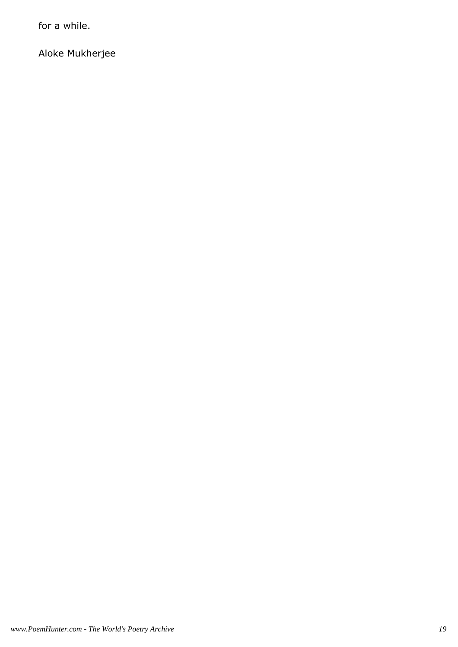for a while.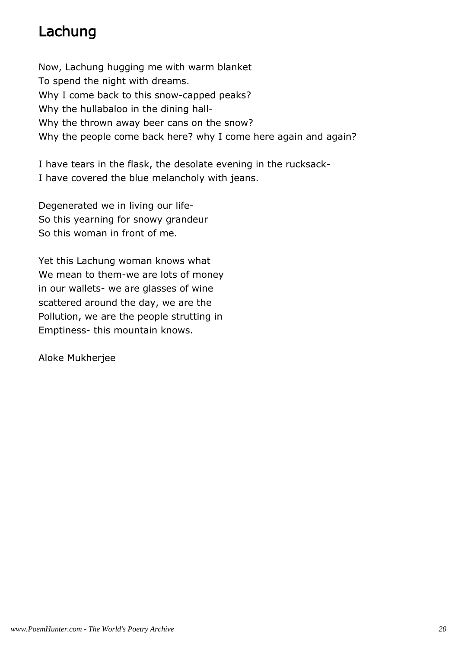## Lachung

Now, Lachung hugging me with warm blanket To spend the night with dreams. Why I come back to this snow-capped peaks? Why the hullabaloo in the dining hall-Why the thrown away beer cans on the snow? Why the people come back here? why I come here again and again?

I have tears in the flask, the desolate evening in the rucksack-I have covered the blue melancholy with jeans.

Degenerated we in living our life-So this yearning for snowy grandeur So this woman in front of me.

Yet this Lachung woman knows what We mean to them-we are lots of money in our wallets- we are glasses of wine scattered around the day, we are the Pollution, we are the people strutting in Emptiness- this mountain knows.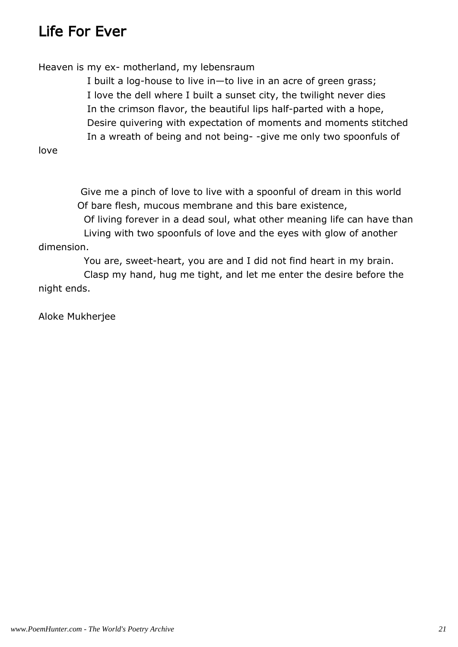## Life For Ever

Heaven is my ex- motherland, my lebensraum

 I built a log-house to live in—to live in an acre of green grass; I love the dell where I built a sunset city, the twilight never dies In the crimson flavor, the beautiful lips half-parted with a hope, Desire quivering with expectation of moments and moments stitched In a wreath of being and not being- -give me only two spoonfuls of

love

 Give me a pinch of love to live with a spoonful of dream in this world Of bare flesh, mucous membrane and this bare existence, Of living forever in a dead soul, what other meaning life can have than Living with two spoonfuls of love and the eyes with glow of another

dimension.

You are, sweet-heart, you are and I did not find heart in my brain.

 Clasp my hand, hug me tight, and let me enter the desire before the night ends.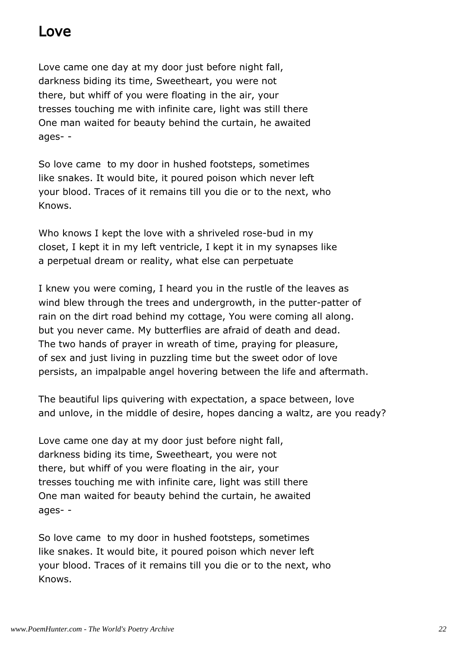#### Love

Love came one day at my door just before night fall, darkness biding its time, Sweetheart, you were not there, but whiff of you were floating in the air, your tresses touching me with infinite care, light was still there One man waited for beauty behind the curtain, he awaited ages- -

So love came to my door in hushed footsteps, sometimes like snakes. It would bite, it poured poison which never left your blood. Traces of it remains till you die or to the next, who Knows.

Who knows I kept the love with a shriveled rose-bud in my closet, I kept it in my left ventricle, I kept it in my synapses like a perpetual dream or reality, what else can perpetuate

I knew you were coming, I heard you in the rustle of the leaves as wind blew through the trees and undergrowth, in the putter-patter of rain on the dirt road behind my cottage, You were coming all along. but you never came. My butterflies are afraid of death and dead. The two hands of prayer in wreath of time, praying for pleasure, of sex and just living in puzzling time but the sweet odor of love persists, an impalpable angel hovering between the life and aftermath.

The beautiful lips quivering with expectation, a space between, love and unlove, in the middle of desire, hopes dancing a waltz, are you ready?

Love came one day at my door just before night fall, darkness biding its time, Sweetheart, you were not there, but whiff of you were floating in the air, your tresses touching me with infinite care, light was still there One man waited for beauty behind the curtain, he awaited ages- -

So love came to my door in hushed footsteps, sometimes like snakes. It would bite, it poured poison which never left your blood. Traces of it remains till you die or to the next, who Knows.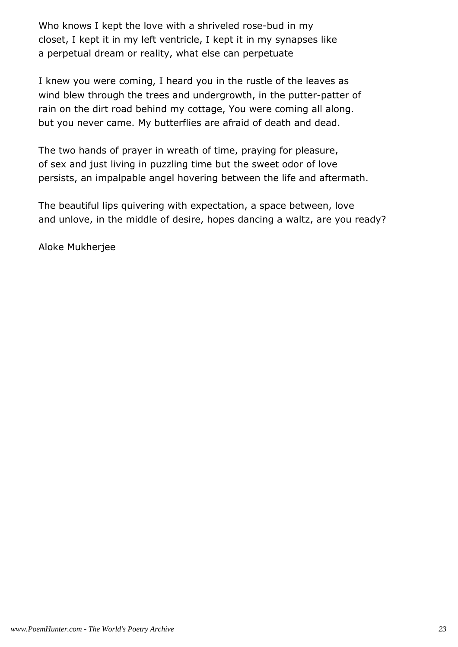Who knows I kept the love with a shriveled rose-bud in my closet, I kept it in my left ventricle, I kept it in my synapses like a perpetual dream or reality, what else can perpetuate

I knew you were coming, I heard you in the rustle of the leaves as wind blew through the trees and undergrowth, in the putter-patter of rain on the dirt road behind my cottage, You were coming all along. but you never came. My butterflies are afraid of death and dead.

The two hands of prayer in wreath of time, praying for pleasure, of sex and just living in puzzling time but the sweet odor of love persists, an impalpable angel hovering between the life and aftermath.

The beautiful lips quivering with expectation, a space between, love and unlove, in the middle of desire, hopes dancing a waltz, are you ready?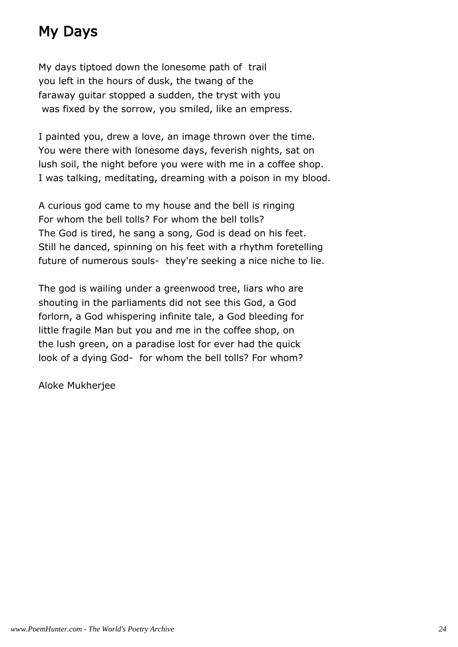## My Days

My days tiptoed down the lonesome path of trail you left in the hours of dusk, the twang of the faraway guitar stopped a sudden, the tryst with you was fixed by the sorrow, you smiled, like an empress.

I painted you, drew a love, an image thrown over the time. You were there with lonesome days, feverish nights, sat on lush soil, the night before you were with me in a coffee shop. I was talking, meditating, dreaming with a poison in my blood.

A curious god came to my house and the bell is ringing For whom the bell tolls? For whom the bell tolls? The God is tired, he sang a song, God is dead on his feet. Still he danced, spinning on his feet with a rhythm foretelling future of numerous souls- they're seeking a nice niche to lie.

The god is wailing under a greenwood tree, liars who are shouting in the parliaments did not see this God, a God forlorn, a God whispering infinite tale, a God bleeding for little fragile Man but you and me in the coffee shop, on the lush green, on a paradise lost for ever had the quick look of a dying God- for whom the bell tolls? For whom?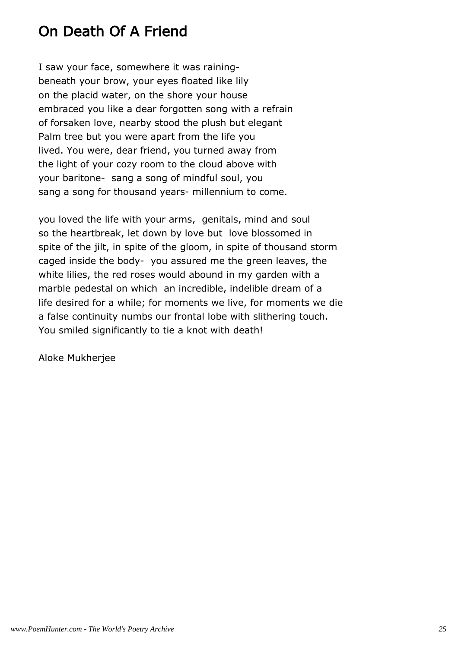## On Death Of A Friend

I saw your face, somewhere it was rainingbeneath your brow, your eyes floated like lily on the placid water, on the shore your house embraced you like a dear forgotten song with a refrain of forsaken love, nearby stood the plush but elegant Palm tree but you were apart from the life you lived. You were, dear friend, you turned away from the light of your cozy room to the cloud above with your baritone- sang a song of mindful soul, you sang a song for thousand years- millennium to come.

you loved the life with your arms, genitals, mind and soul so the heartbreak, let down by love but love blossomed in spite of the jilt, in spite of the gloom, in spite of thousand storm caged inside the body- you assured me the green leaves, the white lilies, the red roses would abound in my garden with a marble pedestal on which an incredible, indelible dream of a life desired for a while; for moments we live, for moments we die a false continuity numbs our frontal lobe with slithering touch. You smiled significantly to tie a knot with death!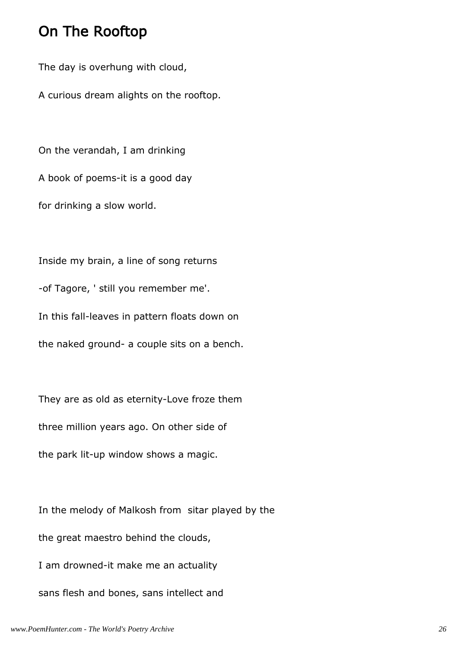#### On The Rooftop

The day is overhung with cloud,

A curious dream alights on the rooftop.

On the verandah, I am drinking A book of poems-it is a good day for drinking a slow world.

Inside my brain, a line of song returns -of Tagore, ' still you remember me'. In this fall-leaves in pattern floats down on the naked ground- a couple sits on a bench.

They are as old as eternity-Love froze them three million years ago. On other side of the park lit-up window shows a magic.

In the melody of Malkosh from sitar played by the the great maestro behind the clouds, I am drowned-it make me an actuality sans flesh and bones, sans intellect and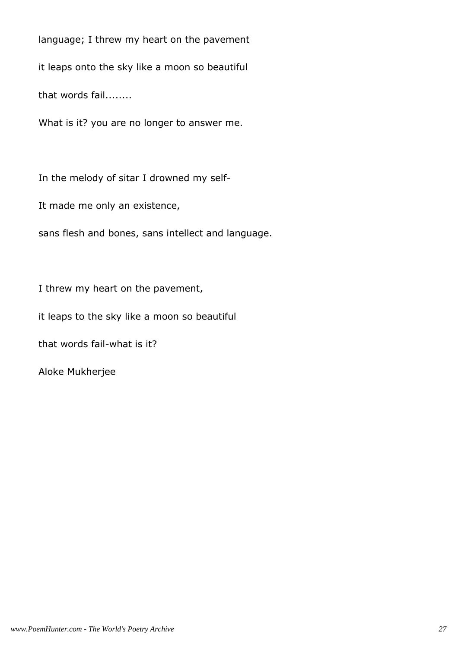language; I threw my heart on the pavement

it leaps onto the sky like a moon so beautiful

that words fail........

What is it? you are no longer to answer me.

In the melody of sitar I drowned my self-

It made me only an existence,

sans flesh and bones, sans intellect and language.

I threw my heart on the pavement,

it leaps to the sky like a moon so beautiful

that words fail-what is it?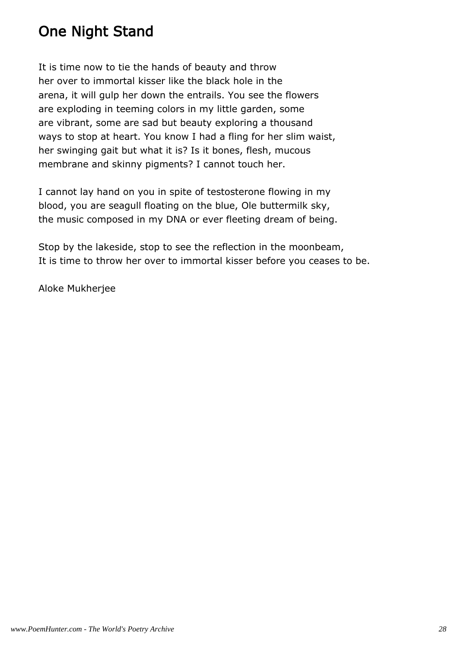## One Night Stand

It is time now to tie the hands of beauty and throw her over to immortal kisser like the black hole in the arena, it will gulp her down the entrails. You see the flowers are exploding in teeming colors in my little garden, some are vibrant, some are sad but beauty exploring a thousand ways to stop at heart. You know I had a fling for her slim waist, her swinging gait but what it is? Is it bones, flesh, mucous membrane and skinny pigments? I cannot touch her.

I cannot lay hand on you in spite of testosterone flowing in my blood, you are seagull floating on the blue, Ole buttermilk sky, the music composed in my DNA or ever fleeting dream of being.

Stop by the lakeside, stop to see the reflection in the moonbeam, It is time to throw her over to immortal kisser before you ceases to be.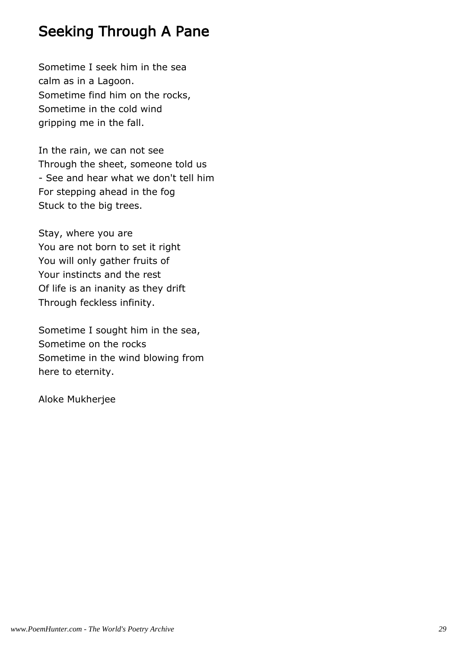## Seeking Through A Pane

Sometime I seek him in the sea calm as in a Lagoon. Sometime find him on the rocks, Sometime in the cold wind gripping me in the fall.

In the rain, we can not see Through the sheet, someone told us - See and hear what we don't tell him For stepping ahead in the fog Stuck to the big trees.

Stay, where you are You are not born to set it right You will only gather fruits of Your instincts and the rest Of life is an inanity as they drift Through feckless infinity.

Sometime I sought him in the sea, Sometime on the rocks Sometime in the wind blowing from here to eternity.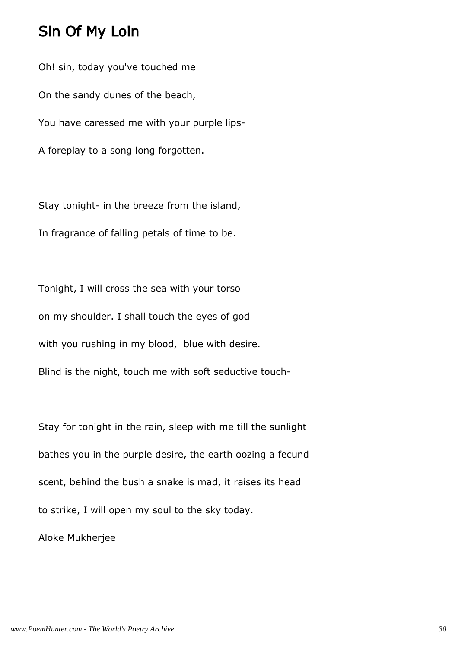#### Sin Of My Loin

Oh! sin, today you've touched me On the sandy dunes of the beach, You have caressed me with your purple lips-A foreplay to a song long forgotten.

Stay tonight- in the breeze from the island, In fragrance of falling petals of time to be.

Tonight, I will cross the sea with your torso on my shoulder. I shall touch the eyes of god with you rushing in my blood, blue with desire.

Blind is the night, touch me with soft seductive touch-

Stay for tonight in the rain, sleep with me till the sunlight bathes you in the purple desire, the earth oozing a fecund scent, behind the bush a snake is mad, it raises its head to strike, I will open my soul to the sky today.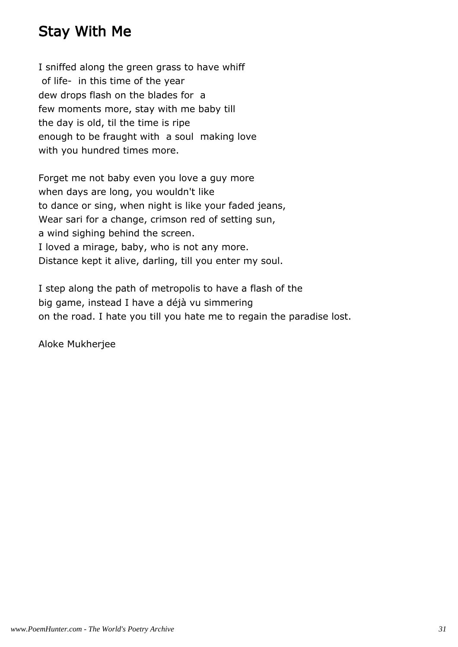## Stay With Me

I sniffed along the green grass to have whiff of life- in this time of the year dew drops flash on the blades for a few moments more, stay with me baby till the day is old, til the time is ripe enough to be fraught with a soul making love with you hundred times more.

Forget me not baby even you love a guy more when days are long, you wouldn't like to dance or sing, when night is like your faded jeans, Wear sari for a change, crimson red of setting sun, a wind sighing behind the screen. I loved a mirage, baby, who is not any more. Distance kept it alive, darling, till you enter my soul.

I step along the path of metropolis to have a flash of the big game, instead I have a déjà vu simmering on the road. I hate you till you hate me to regain the paradise lost.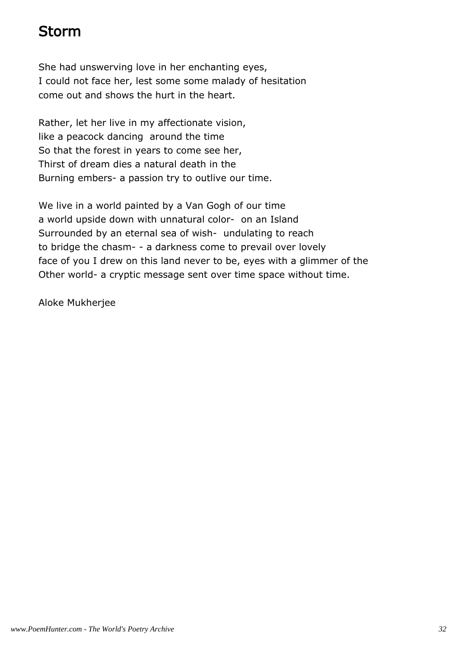## Storm

She had unswerving love in her enchanting eyes, I could not face her, lest some some malady of hesitation come out and shows the hurt in the heart.

Rather, let her live in my affectionate vision, like a peacock dancing around the time So that the forest in years to come see her, Thirst of dream dies a natural death in the Burning embers- a passion try to outlive our time.

We live in a world painted by a Van Gogh of our time a world upside down with unnatural color- on an Island Surrounded by an eternal sea of wish- undulating to reach to bridge the chasm- - a darkness come to prevail over lovely face of you I drew on this land never to be, eyes with a glimmer of the Other world- a cryptic message sent over time space without time.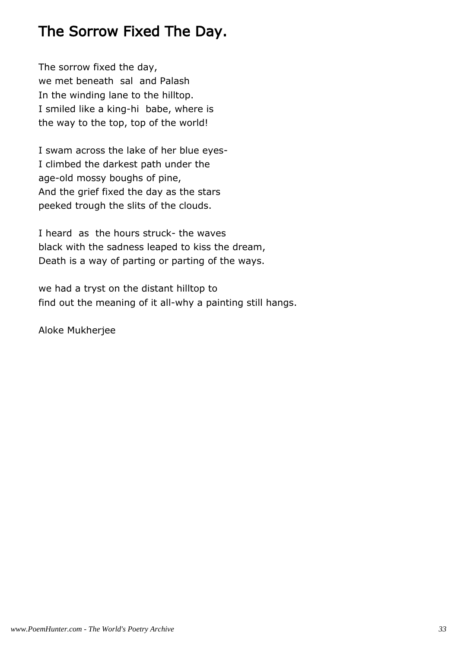## The Sorrow Fixed The Day.

The sorrow fixed the day, we met beneath sal and Palash In the winding lane to the hilltop. I smiled like a king-hi babe, where is the way to the top, top of the world!

I swam across the lake of her blue eyes-I climbed the darkest path under the age-old mossy boughs of pine, And the grief fixed the day as the stars peeked trough the slits of the clouds.

I heard as the hours struck- the waves black with the sadness leaped to kiss the dream, Death is a way of parting or parting of the ways.

we had a tryst on the distant hilltop to find out the meaning of it all-why a painting still hangs.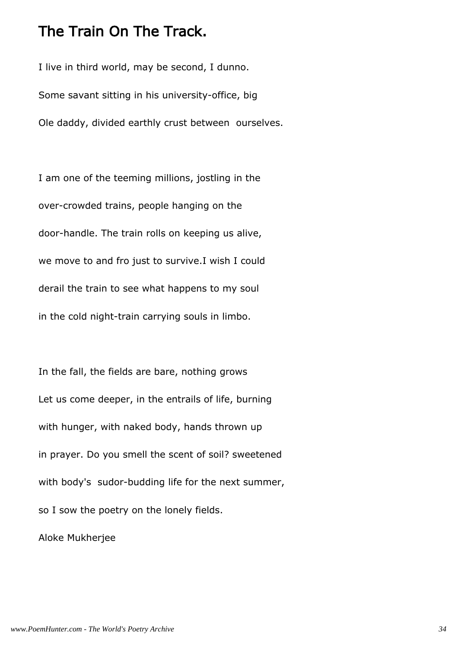#### The Train On The Track.

I live in third world, may be second, I dunno. Some savant sitting in his university-office, big Ole daddy, divided earthly crust between ourselves.

I am one of the teeming millions, jostling in the over-crowded trains, people hanging on the door-handle. The train rolls on keeping us alive, we move to and fro just to survive.I wish I could derail the train to see what happens to my soul in the cold night-train carrying souls in limbo.

In the fall, the fields are bare, nothing grows Let us come deeper, in the entrails of life, burning with hunger, with naked body, hands thrown up in prayer. Do you smell the scent of soil? sweetened with body's sudor-budding life for the next summer, so I sow the poetry on the lonely fields.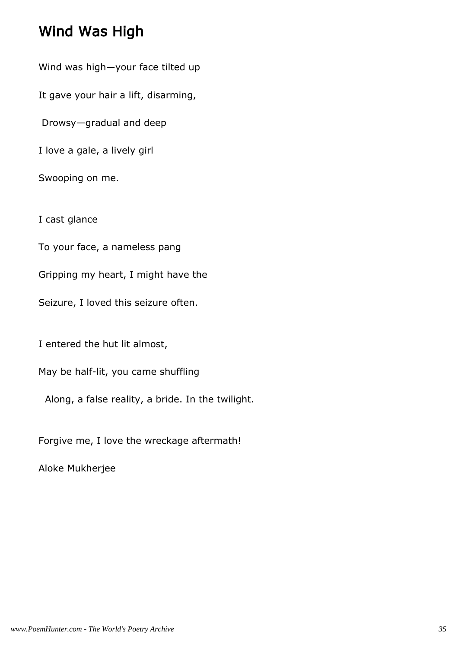### Wind Was High

Wind was high—your face tilted up It gave your hair a lift, disarming, Drowsy—gradual and deep I love a gale, a lively girl Swooping on me. I cast glance To your face, a nameless pang Gripping my heart, I might have the Seizure, I loved this seizure often.

I entered the hut lit almost,

May be half-lit, you came shuffling

Along, a false reality, a bride. In the twilight.

Forgive me, I love the wreckage aftermath!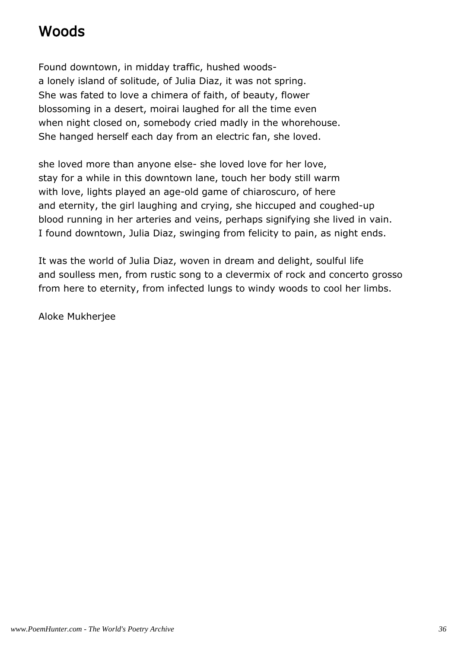## Woods

Found downtown, in midday traffic, hushed woodsa lonely island of solitude, of Julia Diaz, it was not spring. She was fated to love a chimera of faith, of beauty, flower blossoming in a desert, moirai laughed for all the time even when night closed on, somebody cried madly in the whorehouse. She hanged herself each day from an electric fan, she loved.

she loved more than anyone else- she loved love for her love, stay for a while in this downtown lane, touch her body still warm with love, lights played an age-old game of chiaroscuro, of here and eternity, the girl laughing and crying, she hiccuped and coughed-up blood running in her arteries and veins, perhaps signifying she lived in vain. I found downtown, Julia Diaz, swinging from felicity to pain, as night ends.

It was the world of Julia Diaz, woven in dream and delight, soulful life and soulless men, from rustic song to a clevermix of rock and concerto grosso from here to eternity, from infected lungs to windy woods to cool her limbs.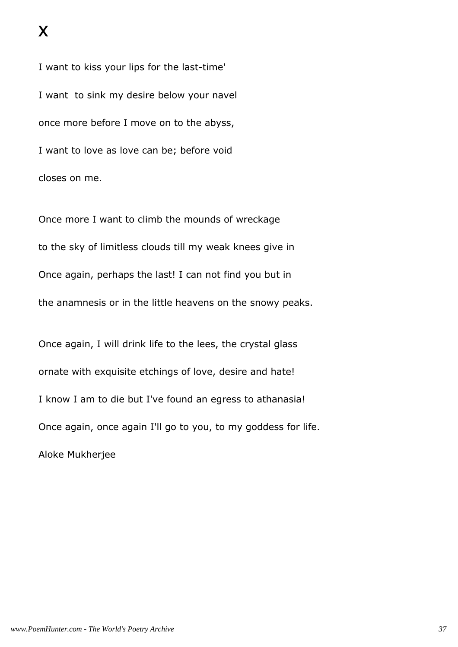I want to kiss your lips for the last-time' I want to sink my desire below your navel once more before I move on to the abyss, I want to love as love can be; before void closes on me.

Once more I want to climb the mounds of wreckage to the sky of limitless clouds till my weak knees give in Once again, perhaps the last! I can not find you but in the anamnesis or in the little heavens on the snowy peaks.

Once again, I will drink life to the lees, the crystal glass ornate with exquisite etchings of love, desire and hate! I know I am to die but I've found an egress to athanasia! Once again, once again I'll go to you, to my goddess for life. Aloke Mukherjee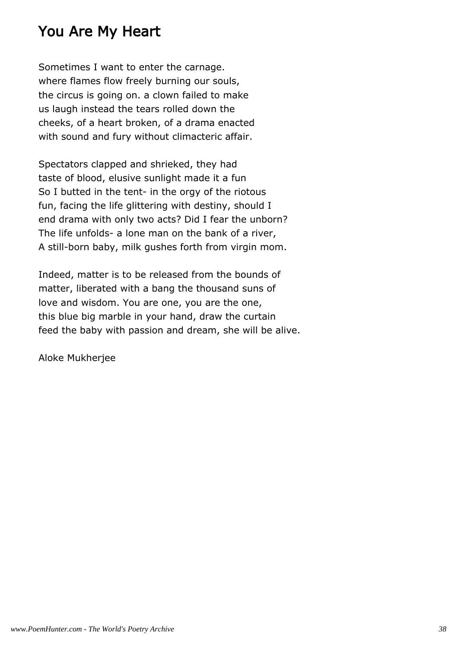#### You Are My Heart

Sometimes I want to enter the carnage. where flames flow freely burning our souls, the circus is going on. a clown failed to make us laugh instead the tears rolled down the cheeks, of a heart broken, of a drama enacted with sound and fury without climacteric affair.

Spectators clapped and shrieked, they had taste of blood, elusive sunlight made it a fun So I butted in the tent- in the orgy of the riotous fun, facing the life glittering with destiny, should I end drama with only two acts? Did I fear the unborn? The life unfolds- a lone man on the bank of a river, A still-born baby, milk gushes forth from virgin mom.

Indeed, matter is to be released from the bounds of matter, liberated with a bang the thousand suns of love and wisdom. You are one, you are the one, this blue big marble in your hand, draw the curtain feed the baby with passion and dream, she will be alive.